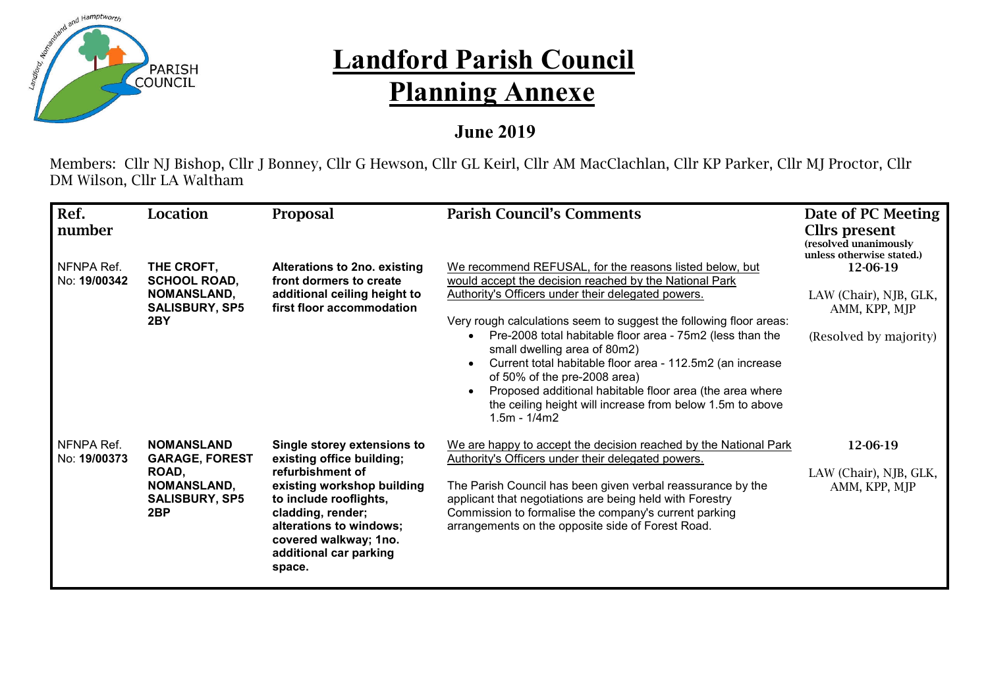

## **Landford Parish Council Planning Annexe**

## **June 2019**

Members: Cllr NJ Bishop, Cllr J Bonney, Cllr G Hewson, Cllr GL Keirl, Cllr AM MacClachlan, Cllr KP Parker, Cllr MJ Proctor, Cllr DM Wilson, Cllr LA Waltham

| Ref.                       | Location                                                                                                              | Proposal                                                                                                                                                                                                                                          | <b>Parish Council's Comments</b>                                                                                                                                                                                                                                                                                                                                                                                                                                                                                                                                                   | Date of PC Meeting                                                            |
|----------------------------|-----------------------------------------------------------------------------------------------------------------------|---------------------------------------------------------------------------------------------------------------------------------------------------------------------------------------------------------------------------------------------------|------------------------------------------------------------------------------------------------------------------------------------------------------------------------------------------------------------------------------------------------------------------------------------------------------------------------------------------------------------------------------------------------------------------------------------------------------------------------------------------------------------------------------------------------------------------------------------|-------------------------------------------------------------------------------|
| <b>number</b>              |                                                                                                                       |                                                                                                                                                                                                                                                   |                                                                                                                                                                                                                                                                                                                                                                                                                                                                                                                                                                                    | Cllrs present<br>(resolved unanimously<br>unless otherwise stated.)           |
| NFNPA Ref.<br>No: 19/00342 | THE CROFT,<br><b>SCHOOL ROAD,</b><br><b>NOMANSLAND,</b><br><b>SALISBURY, SP5</b><br>2BY                               | Alterations to 2no. existing<br>front dormers to create<br>additional ceiling height to<br>first floor accommodation                                                                                                                              | We recommend REFUSAL, for the reasons listed below, but<br>would accept the decision reached by the National Park<br>Authority's Officers under their delegated powers.<br>Very rough calculations seem to suggest the following floor areas:<br>Pre-2008 total habitable floor area - 75m2 (less than the<br>small dwelling area of 80m2)<br>Current total habitable floor area - 112.5m2 (an increase<br>of 50% of the pre-2008 area)<br>Proposed additional habitable floor area (the area where<br>the ceiling height will increase from below 1.5m to above<br>$1.5m - 1/4m2$ | 12-06-19<br>LAW (Chair), NJB, GLK,<br>AMM, KPP, MJP<br>(Resolved by majority) |
| NFNPA Ref.<br>No: 19/00373 | <b>NOMANSLAND</b><br><b>GARAGE, FOREST</b><br>ROAD,<br><b>NOMANSLAND,</b><br><b>SALISBURY, SP5</b><br>2 <sub>BP</sub> | Single storey extensions to<br>existing office building;<br>refurbishment of<br>existing workshop building<br>to include rooflights,<br>cladding, render;<br>alterations to windows;<br>covered walkway; 1no.<br>additional car parking<br>space. | We are happy to accept the decision reached by the National Park<br>Authority's Officers under their delegated powers.<br>The Parish Council has been given verbal reassurance by the<br>applicant that negotiations are being held with Forestry<br>Commission to formalise the company's current parking<br>arrangements on the opposite side of Forest Road.                                                                                                                                                                                                                    | 12-06-19<br>LAW (Chair), NJB, GLK,<br>AMM, KPP, MJP                           |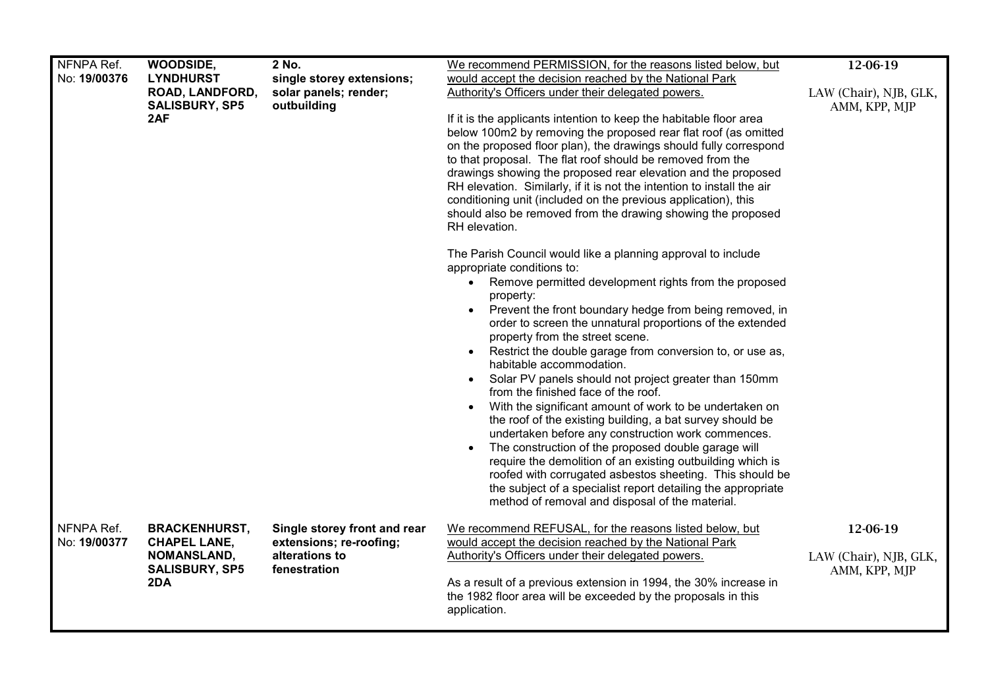| NFNPA Ref.<br>No: 19/00376 | WOODSIDE,<br><b>LYNDHURST</b><br><b>ROAD, LANDFORD,</b><br><b>SALISBURY, SP5</b><br>2AF           | 2 No.<br>single storey extensions;<br>solar panels; render;<br>outbuilding                | We recommend PERMISSION, for the reasons listed below, but<br>would accept the decision reached by the National Park<br>Authority's Officers under their delegated powers.<br>If it is the applicants intention to keep the habitable floor area<br>below 100m2 by removing the proposed rear flat roof (as omitted<br>on the proposed floor plan), the drawings should fully correspond<br>to that proposal. The flat roof should be removed from the<br>drawings showing the proposed rear elevation and the proposed<br>RH elevation. Similarly, if it is not the intention to install the air<br>conditioning unit (included on the previous application), this<br>should also be removed from the drawing showing the proposed<br>RH elevation.<br>The Parish Council would like a planning approval to include<br>appropriate conditions to:<br>• Remove permitted development rights from the proposed<br>property:<br>Prevent the front boundary hedge from being removed, in<br>order to screen the unnatural proportions of the extended<br>property from the street scene.<br>• Restrict the double garage from conversion to, or use as,<br>habitable accommodation.<br>Solar PV panels should not project greater than 150mm<br>from the finished face of the roof.<br>With the significant amount of work to be undertaken on<br>$\bullet$<br>the roof of the existing building, a bat survey should be<br>undertaken before any construction work commences.<br>The construction of the proposed double garage will<br>require the demolition of an existing outbuilding which is<br>roofed with corrugated asbestos sheeting. This should be<br>the subject of a specialist report detailing the appropriate<br>method of removal and disposal of the material. | 12-06-19<br>LAW (Chair), NJB, GLK,<br>AMM, KPP, MJP |
|----------------------------|---------------------------------------------------------------------------------------------------|-------------------------------------------------------------------------------------------|---------------------------------------------------------------------------------------------------------------------------------------------------------------------------------------------------------------------------------------------------------------------------------------------------------------------------------------------------------------------------------------------------------------------------------------------------------------------------------------------------------------------------------------------------------------------------------------------------------------------------------------------------------------------------------------------------------------------------------------------------------------------------------------------------------------------------------------------------------------------------------------------------------------------------------------------------------------------------------------------------------------------------------------------------------------------------------------------------------------------------------------------------------------------------------------------------------------------------------------------------------------------------------------------------------------------------------------------------------------------------------------------------------------------------------------------------------------------------------------------------------------------------------------------------------------------------------------------------------------------------------------------------------------------------------------------------------------------------------------------------------------------------------|-----------------------------------------------------|
| NFNPA Ref.<br>No: 19/00377 | <b>BRACKENHURST,</b><br><b>CHAPEL LANE,</b><br><b>NOMANSLAND,</b><br><b>SALISBURY, SP5</b><br>2DA | Single storey front and rear<br>extensions; re-roofing;<br>alterations to<br>fenestration | We recommend REFUSAL, for the reasons listed below, but<br>would accept the decision reached by the National Park<br>Authority's Officers under their delegated powers.<br>As a result of a previous extension in 1994, the 30% increase in<br>the 1982 floor area will be exceeded by the proposals in this<br>application.                                                                                                                                                                                                                                                                                                                                                                                                                                                                                                                                                                                                                                                                                                                                                                                                                                                                                                                                                                                                                                                                                                                                                                                                                                                                                                                                                                                                                                                    | 12-06-19<br>LAW (Chair), NJB, GLK,<br>AMM, KPP, MJP |